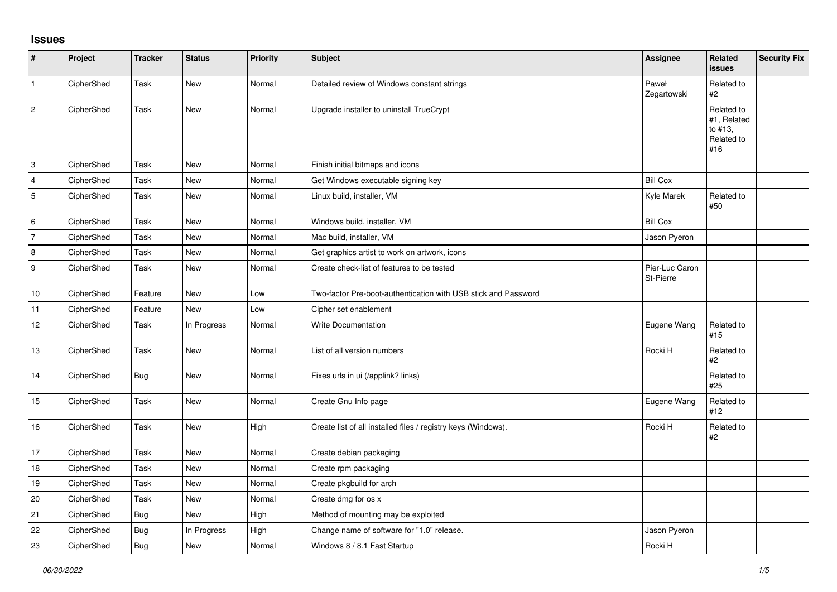## **Issues**

| $\vert$ #      | Project    | <b>Tracker</b> | <b>Status</b> | <b>Priority</b> | <b>Subject</b>                                                 | <b>Assignee</b>             | <b>Related</b><br>issues                                  | <b>Security Fix</b> |
|----------------|------------|----------------|---------------|-----------------|----------------------------------------------------------------|-----------------------------|-----------------------------------------------------------|---------------------|
| $\vert$ 1      | CipherShed | Task           | <b>New</b>    | Normal          | Detailed review of Windows constant strings                    | Paweł<br>Zegartowski        | Related to<br>#2                                          |                     |
| 2              | CipherShed | Task           | <b>New</b>    | Normal          | Upgrade installer to uninstall TrueCrypt                       |                             | Related to<br>#1, Related<br>to #13.<br>Related to<br>#16 |                     |
| 3              | CipherShed | Task           | <b>New</b>    | Normal          | Finish initial bitmaps and icons                               |                             |                                                           |                     |
| $\overline{4}$ | CipherShed | Task           | New           | Normal          | Get Windows executable signing key                             | <b>Bill Cox</b>             |                                                           |                     |
| 5              | CipherShed | Task           | New           | Normal          | Linux build, installer, VM                                     | Kyle Marek                  | Related to<br>#50                                         |                     |
| 6              | CipherShed | Task           | <b>New</b>    | Normal          | Windows build, installer, VM                                   | <b>Bill Cox</b>             |                                                           |                     |
| 7              | CipherShed | Task           | <b>New</b>    | Normal          | Mac build, installer, VM                                       | Jason Pyeron                |                                                           |                     |
| 8              | CipherShed | Task           | <b>New</b>    | Normal          | Get graphics artist to work on artwork, icons                  |                             |                                                           |                     |
| 9              | CipherShed | Task           | New           | Normal          | Create check-list of features to be tested                     | Pier-Luc Caron<br>St-Pierre |                                                           |                     |
| 10             | CipherShed | Feature        | <b>New</b>    | Low             | Two-factor Pre-boot-authentication with USB stick and Password |                             |                                                           |                     |
| 11             | CipherShed | Feature        | New           | Low             | Cipher set enablement                                          |                             |                                                           |                     |
| 12             | CipherShed | Task           | In Progress   | Normal          | <b>Write Documentation</b>                                     | Eugene Wang                 | Related to<br>#15                                         |                     |
| 13             | CipherShed | Task           | New           | Normal          | List of all version numbers                                    | Rocki H                     | Related to<br>#2                                          |                     |
| 14             | CipherShed | Bug            | New           | Normal          | Fixes urls in ui (/applink? links)                             |                             | Related to<br>#25                                         |                     |
| 15             | CipherShed | Task           | <b>New</b>    | Normal          | Create Gnu Info page                                           | Eugene Wang                 | Related to<br>#12                                         |                     |
| 16             | CipherShed | Task           | New           | High            | Create list of all installed files / registry keys (Windows).  | Rocki H                     | Related to<br>#2                                          |                     |
| 17             | CipherShed | Task           | <b>New</b>    | Normal          | Create debian packaging                                        |                             |                                                           |                     |
| $18$           | CipherShed | Task           | New           | Normal          | Create rpm packaging                                           |                             |                                                           |                     |
| 19             | CipherShed | Task           | <b>New</b>    | Normal          | Create pkgbuild for arch                                       |                             |                                                           |                     |
| 20             | CipherShed | Task           | <b>New</b>    | Normal          | Create dmg for os x                                            |                             |                                                           |                     |
| 21             | CipherShed | <b>Bug</b>     | New           | High            | Method of mounting may be exploited                            |                             |                                                           |                     |
| 22             | CipherShed | <b>Bug</b>     | In Progress   | High            | Change name of software for "1.0" release.                     | Jason Pyeron                |                                                           |                     |
| 23             | CipherShed | <b>Bug</b>     | New           | Normal          | Windows 8 / 8.1 Fast Startup                                   | Rocki H                     |                                                           |                     |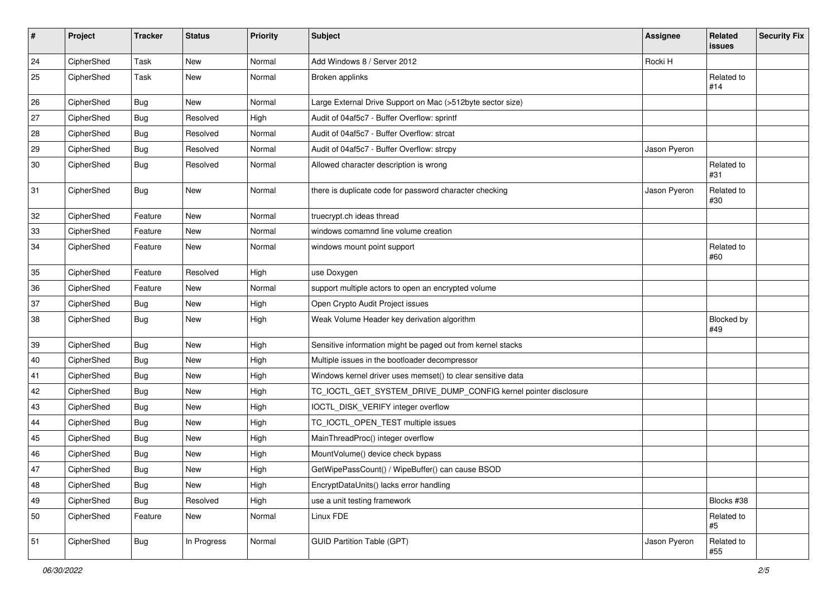| $\sharp$ | Project    | <b>Tracker</b> | <b>Status</b> | <b>Priority</b> | <b>Subject</b>                                                  | <b>Assignee</b> | Related<br><b>issues</b> | <b>Security Fix</b> |
|----------|------------|----------------|---------------|-----------------|-----------------------------------------------------------------|-----------------|--------------------------|---------------------|
| 24       | CipherShed | Task           | <b>New</b>    | Normal          | Add Windows 8 / Server 2012                                     | Rocki H         |                          |                     |
| 25       | CipherShed | Task           | <b>New</b>    | Normal          | Broken applinks                                                 |                 | Related to<br>#14        |                     |
| 26       | CipherShed | Bug            | New           | Normal          | Large External Drive Support on Mac (>512byte sector size)      |                 |                          |                     |
| 27       | CipherShed | <b>Bug</b>     | Resolved      | High            | Audit of 04af5c7 - Buffer Overflow: sprintf                     |                 |                          |                     |
| 28       | CipherShed | <b>Bug</b>     | Resolved      | Normal          | Audit of 04af5c7 - Buffer Overflow: strcat                      |                 |                          |                     |
| 29       | CipherShed | <b>Bug</b>     | Resolved      | Normal          | Audit of 04af5c7 - Buffer Overflow: strcpy                      | Jason Pyeron    |                          |                     |
| 30       | CipherShed | <b>Bug</b>     | Resolved      | Normal          | Allowed character description is wrong                          |                 | Related to<br>#31        |                     |
| 31       | CipherShed | <b>Bug</b>     | <b>New</b>    | Normal          | there is duplicate code for password character checking         | Jason Pyeron    | Related to<br>#30        |                     |
| 32       | CipherShed | Feature        | <b>New</b>    | Normal          | truecrypt.ch ideas thread                                       |                 |                          |                     |
| 33       | CipherShed | Feature        | New           | Normal          | windows comamnd line volume creation                            |                 |                          |                     |
| 34       | CipherShed | Feature        | New           | Normal          | windows mount point support                                     |                 | Related to<br>#60        |                     |
| 35       | CipherShed | Feature        | Resolved      | High            | use Doxygen                                                     |                 |                          |                     |
| 36       | CipherShed | Feature        | New           | Normal          | support multiple actors to open an encrypted volume             |                 |                          |                     |
| 37       | CipherShed | <b>Bug</b>     | New           | High            | Open Crypto Audit Project issues                                |                 |                          |                     |
| 38       | CipherShed | <b>Bug</b>     | New           | High            | Weak Volume Header key derivation algorithm                     |                 | Blocked by<br>#49        |                     |
| 39       | CipherShed | <b>Bug</b>     | <b>New</b>    | High            | Sensitive information might be paged out from kernel stacks     |                 |                          |                     |
| 40       | CipherShed | <b>Bug</b>     | New           | High            | Multiple issues in the bootloader decompressor                  |                 |                          |                     |
| 41       | CipherShed | <b>Bug</b>     | <b>New</b>    | High            | Windows kernel driver uses memset() to clear sensitive data     |                 |                          |                     |
| 42       | CipherShed | <b>Bug</b>     | <b>New</b>    | High            | TC_IOCTL_GET_SYSTEM_DRIVE_DUMP_CONFIG kernel pointer disclosure |                 |                          |                     |
| 43       | CipherShed | <b>Bug</b>     | <b>New</b>    | High            | IOCTL_DISK_VERIFY integer overflow                              |                 |                          |                     |
| 44       | CipherShed | <b>Bug</b>     | <b>New</b>    | High            | TC_IOCTL_OPEN_TEST multiple issues                              |                 |                          |                     |
| 45       | CipherShed | <b>Bug</b>     | New           | High            | MainThreadProc() integer overflow                               |                 |                          |                     |
| 46       | CipherShed | Bug            | <b>New</b>    | High            | MountVolume() device check bypass                               |                 |                          |                     |
| 47       | CipherShed | <b>Bug</b>     | New           | High            | GetWipePassCount() / WipeBuffer() can cause BSOD                |                 |                          |                     |
| 48       | CipherShed | <b>Bug</b>     | New           | High            | EncryptDataUnits() lacks error handling                         |                 |                          |                     |
| 49       | CipherShed | <b>Bug</b>     | Resolved      | High            | use a unit testing framework                                    |                 | Blocks #38               |                     |
| 50       | CipherShed | Feature        | New           | Normal          | Linux FDE                                                       |                 | Related to<br>#5         |                     |
| 51       | CipherShed | <b>Bug</b>     | In Progress   | Normal          | <b>GUID Partition Table (GPT)</b>                               | Jason Pyeron    | Related to<br>#55        |                     |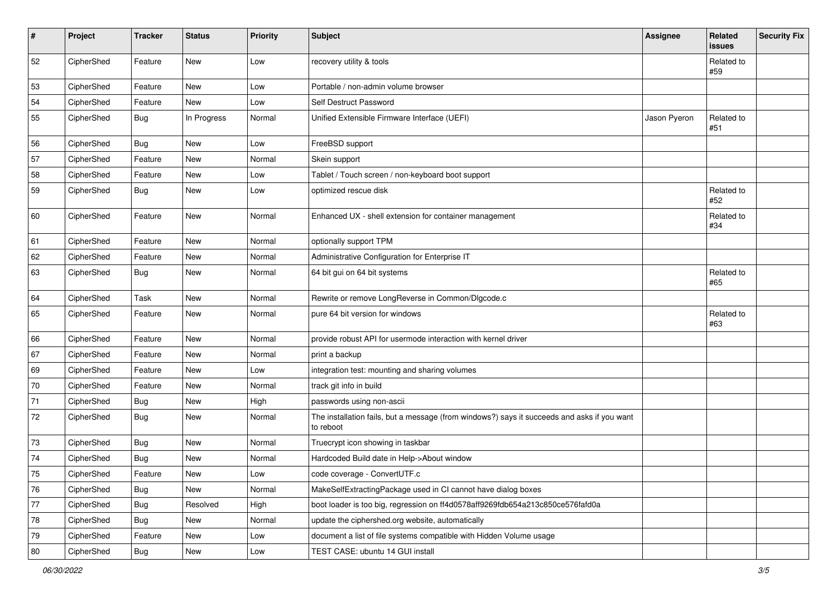| #          | Project    | <b>Tracker</b> | <b>Status</b> | Priority | <b>Subject</b>                                                                                           | <b>Assignee</b> | Related<br>issues | <b>Security Fix</b> |
|------------|------------|----------------|---------------|----------|----------------------------------------------------------------------------------------------------------|-----------------|-------------------|---------------------|
| 52         | CipherShed | Feature        | <b>New</b>    | Low      | recovery utility & tools                                                                                 |                 | Related to<br>#59 |                     |
| 53         | CipherShed | Feature        | New           | Low      | Portable / non-admin volume browser                                                                      |                 |                   |                     |
| 54         | CipherShed | Feature        | New           | Low      | Self Destruct Password                                                                                   |                 |                   |                     |
| 55         | CipherShed | <b>Bug</b>     | In Progress   | Normal   | Unified Extensible Firmware Interface (UEFI)                                                             | Jason Pyeron    | Related to<br>#51 |                     |
| 56         | CipherShed | <b>Bug</b>     | New           | Low      | FreeBSD support                                                                                          |                 |                   |                     |
| 57         | CipherShed | Feature        | New           | Normal   | Skein support                                                                                            |                 |                   |                     |
| 58         | CipherShed | Feature        | New           | Low      | Tablet / Touch screen / non-keyboard boot support                                                        |                 |                   |                     |
| 59         | CipherShed | Bug            | New           | Low      | optimized rescue disk                                                                                    |                 | Related to<br>#52 |                     |
| 60         | CipherShed | Feature        | <b>New</b>    | Normal   | Enhanced UX - shell extension for container management                                                   |                 | Related to<br>#34 |                     |
| 61         | CipherShed | Feature        | New           | Normal   | optionally support TPM                                                                                   |                 |                   |                     |
| 62         | CipherShed | Feature        | New           | Normal   | Administrative Configuration for Enterprise IT                                                           |                 |                   |                     |
| 63         | CipherShed | Bug            | New           | Normal   | 64 bit gui on 64 bit systems                                                                             |                 | Related to<br>#65 |                     |
| 64         | CipherShed | Task           | New           | Normal   | Rewrite or remove LongReverse in Common/DIgcode.c                                                        |                 |                   |                     |
| 65         | CipherShed | Feature        | New           | Normal   | pure 64 bit version for windows                                                                          |                 | Related to<br>#63 |                     |
| 66         | CipherShed | Feature        | New           | Normal   | provide robust API for usermode interaction with kernel driver                                           |                 |                   |                     |
| 67         | CipherShed | Feature        | New           | Normal   | print a backup                                                                                           |                 |                   |                     |
| 69         | CipherShed | Feature        | New           | Low      | integration test: mounting and sharing volumes                                                           |                 |                   |                     |
| 70         | CipherShed | Feature        | New           | Normal   | track git info in build                                                                                  |                 |                   |                     |
| 71         | CipherShed | <b>Bug</b>     | New           | High     | passwords using non-ascii                                                                                |                 |                   |                     |
| 72         | CipherShed | Bug            | New           | Normal   | The installation fails, but a message (from windows?) says it succeeds and asks if you want<br>to reboot |                 |                   |                     |
| 73         | CipherShed | <b>Bug</b>     | New           | Normal   | Truecrypt icon showing in taskbar                                                                        |                 |                   |                     |
| 74         | CipherShed | <b>Bug</b>     | New           | Normal   | Hardcoded Build date in Help->About window                                                               |                 |                   |                     |
| ${\bf 75}$ | CipherShed | Feature        | New           | Low      | code coverage - ConvertUTF.c                                                                             |                 |                   |                     |
| 76         | CipherShed | <b>Bug</b>     | New           | Normal   | MakeSelfExtractingPackage used in CI cannot have dialog boxes                                            |                 |                   |                     |
| $77 \,$    | CipherShed | <b>Bug</b>     | Resolved      | High     | boot loader is too big, regression on ff4d0578aff9269fdb654a213c850ce576fafd0a                           |                 |                   |                     |
| ${\bf 78}$ | CipherShed | Bug            | New           | Normal   | update the ciphershed.org website, automatically                                                         |                 |                   |                     |
| $79\,$     | CipherShed | Feature        | New           | Low      | document a list of file systems compatible with Hidden Volume usage                                      |                 |                   |                     |
| 80         | CipherShed | <b>Bug</b>     | New           | Low      | TEST CASE: ubuntu 14 GUI install                                                                         |                 |                   |                     |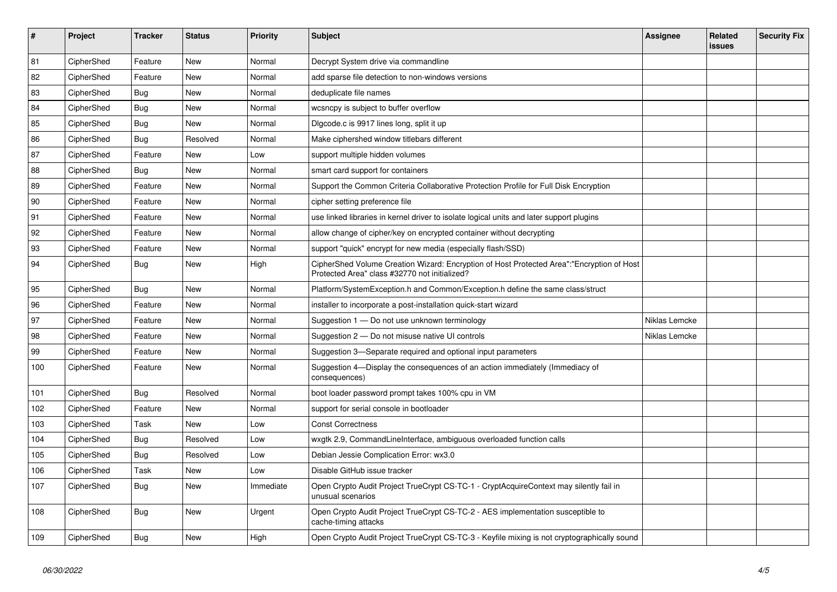| $\vert$ # | Project    | <b>Tracker</b> | <b>Status</b> | <b>Priority</b> | <b>Subject</b>                                                                                                                             | Assignee      | Related<br>issues | <b>Security Fix</b> |
|-----------|------------|----------------|---------------|-----------------|--------------------------------------------------------------------------------------------------------------------------------------------|---------------|-------------------|---------------------|
| 81        | CipherShed | Feature        | <b>New</b>    | Normal          | Decrypt System drive via commandline                                                                                                       |               |                   |                     |
| 82        | CipherShed | Feature        | New           | Normal          | add sparse file detection to non-windows versions                                                                                          |               |                   |                     |
| 83        | CipherShed | <b>Bug</b>     | <b>New</b>    | Normal          | deduplicate file names                                                                                                                     |               |                   |                     |
| 84        | CipherShed | <b>Bug</b>     | <b>New</b>    | Normal          | wcsncpy is subject to buffer overflow                                                                                                      |               |                   |                     |
| 85        | CipherShed | Bug            | <b>New</b>    | Normal          | Digcode.c is 9917 lines long, split it up                                                                                                  |               |                   |                     |
| 86        | CipherShed | Bug            | Resolved      | Normal          | Make ciphershed window titlebars different                                                                                                 |               |                   |                     |
| 87        | CipherShed | Feature        | <b>New</b>    | Low             | support multiple hidden volumes                                                                                                            |               |                   |                     |
| 88        | CipherShed | Bug            | New           | Normal          | smart card support for containers                                                                                                          |               |                   |                     |
| 89        | CipherShed | Feature        | <b>New</b>    | Normal          | Support the Common Criteria Collaborative Protection Profile for Full Disk Encryption                                                      |               |                   |                     |
| 90        | CipherShed | Feature        | <b>New</b>    | Normal          | cipher setting preference file                                                                                                             |               |                   |                     |
| 91        | CipherShed | Feature        | <b>New</b>    | Normal          | use linked libraries in kernel driver to isolate logical units and later support plugins                                                   |               |                   |                     |
| 92        | CipherShed | Feature        | New           | Normal          | allow change of cipher/key on encrypted container without decrypting                                                                       |               |                   |                     |
| 93        | CipherShed | Feature        | <b>New</b>    | Normal          | support "quick" encrypt for new media (especially flash/SSD)                                                                               |               |                   |                     |
| 94        | CipherShed | Bug            | New           | High            | CipherShed Volume Creation Wizard: Encryption of Host Protected Area":"Encryption of Host<br>Protected Area" class #32770 not initialized? |               |                   |                     |
| 95        | CipherShed | Bug            | <b>New</b>    | Normal          | Platform/SystemException.h and Common/Exception.h define the same class/struct                                                             |               |                   |                     |
| 96        | CipherShed | Feature        | <b>New</b>    | Normal          | installer to incorporate a post-installation quick-start wizard                                                                            |               |                   |                     |
| 97        | CipherShed | Feature        | <b>New</b>    | Normal          | Suggestion 1 - Do not use unknown terminology                                                                                              | Niklas Lemcke |                   |                     |
| 98        | CipherShed | Feature        | <b>New</b>    | Normal          | Suggestion 2 – Do not misuse native UI controls                                                                                            | Niklas Lemcke |                   |                     |
| 99        | CipherShed | Feature        | <b>New</b>    | Normal          | Suggestion 3—Separate required and optional input parameters                                                                               |               |                   |                     |
| 100       | CipherShed | Feature        | New           | Normal          | Suggestion 4-Display the consequences of an action immediately (Immediacy of<br>consequences)                                              |               |                   |                     |
| 101       | CipherShed | <b>Bug</b>     | Resolved      | Normal          | boot loader password prompt takes 100% cpu in VM                                                                                           |               |                   |                     |
| 102       | CipherShed | Feature        | <b>New</b>    | Normal          | support for serial console in bootloader                                                                                                   |               |                   |                     |
| 103       | CipherShed | Task           | New           | Low             | <b>Const Correctness</b>                                                                                                                   |               |                   |                     |
| 104       | CipherShed | <b>Bug</b>     | Resolved      | Low             | wxgtk 2.9, CommandLineInterface, ambiguous overloaded function calls                                                                       |               |                   |                     |
| 105       | CipherShed | Bug            | Resolved      | Low             | Debian Jessie Complication Error: wx3.0                                                                                                    |               |                   |                     |
| 106       | CipherShed | Task           | <b>New</b>    | Low             | Disable GitHub issue tracker                                                                                                               |               |                   |                     |
| 107       | CipherShed | <b>Bug</b>     | <b>New</b>    | Immediate       | Open Crypto Audit Project TrueCrypt CS-TC-1 - CryptAcquireContext may silently fail in<br>unusual scenarios                                |               |                   |                     |
| 108       | CipherShed | Bug            | New           | Urgent          | Open Crypto Audit Project TrueCrypt CS-TC-2 - AES implementation susceptible to<br>cache-timing attacks                                    |               |                   |                     |
| 109       | CipherShed | <b>Bug</b>     | New           | High            | Open Crypto Audit Project TrueCrypt CS-TC-3 - Keyfile mixing is not cryptographically sound                                                |               |                   |                     |